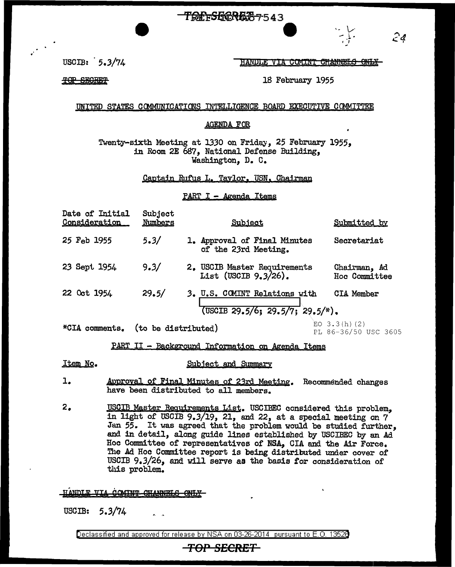<del>TOPFSGORE 57543</del>



-- **l ..** r -, *2&* <sup>r</sup>

USCIB: 5.3/74

HANDLE VIA COMINI CHANNELS ONLY

TOP SECRET

18 February 1955

UNITED STATES COMMUNICATIONS INTELLIGENCE BOARD EXECUTIVE COMMITTEE

## AGENDA FOR

Twenty-sixth Meeting at 1330 on Fridey, 25 February 1955, in Room 2E 687, National Defense Building, Washington, D. C.

Captain Rufus L. Taylor. USN, Chairman

PART I - Agenda Items

| Date of Initial<br><u>Consideration</u> | Subject<br>Numbers | Subject                                                             | Submitted by                  |
|-----------------------------------------|--------------------|---------------------------------------------------------------------|-------------------------------|
| 25 Feb 1955                             | 5.3/               | 1. Approval of Final Minutes<br>of the 23rd Meeting.                | Secretariat                   |
| 23 Sept 1954                            | 9.3/               | 2. USCIB Master Requirements<br>List (USCIB 9.3/26).                | Chairman, Ad<br>Hoc Committee |
| 22 Oct 1954                             | 29.5/              | 3. U.S. COMINT Relations with<br>$(USCIB 29.5/6; 29.5/7; 29.5/*)$ . | <b>CIA Member</b>             |

\*CIA comments. (to be distributed)  $EO(3.30)$  (2)

PL 86-36/50 USC 3605

## PART II - Background Information on Agenda Items

Item No.

## Subject and Summary

- 1. Approval of Final Minutes of 23rd Meeting. Recommended changes have been distributed to all members,
- 2. USCIB Master Requirements List. USCIBEC considered this problem, in light of USOIB 9.3/19, 21, and 22, at a special meeting on 7 Jan 55. It was agreed that the problem would be studied further, and in detail, along guide lines established by USCIBEC by an Ad Hoc Committee of representatives of NSA, GIA and the Air Force. The Ad Hoc Committee report is being distributed under cover of USCIB 9.3/26, and will serve as the basis *tor* consideration of this problem.

HANDLE VIA **COMINT CHANNELS** 

USCIB: 5.3/74

Declassified and approved for release by NSA on 03-26-2014 pursuant to E. 0. 1352B

## **TOP SECRET**